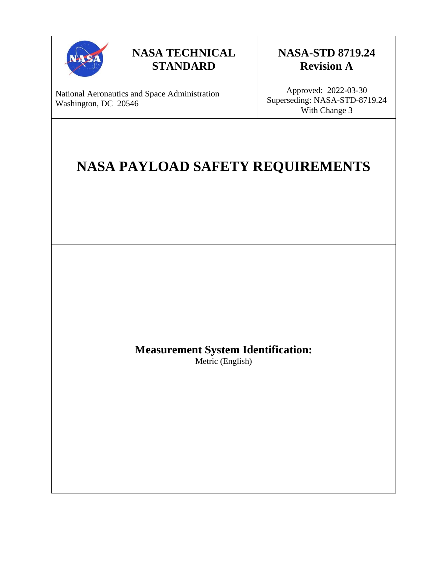

## **NASA TECHNICAL STANDARD**

## **NASA-STD 8719.24 Revision A**

National Aeronautics and Space Administration Washington, DC 20546

Approved: 2022-03-30 Superseding: NASA-STD-8719.24 With Change 3

# **NASA PAYLOAD SAFETY REQUIREMENTS**

## **Measurement System Identification:**

Metric (English)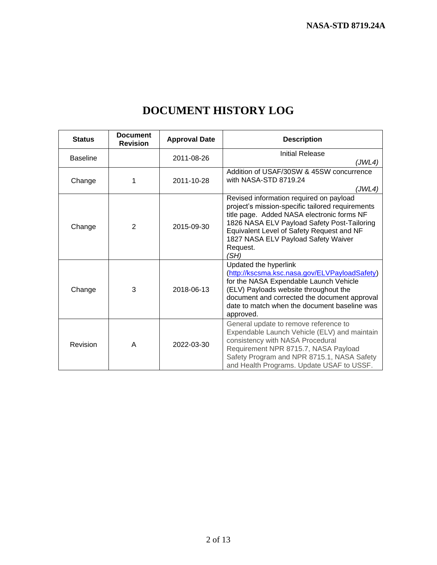| <b>Status</b>   | <b>Document</b><br><b>Revision</b> | <b>Approval Date</b> | <b>Description</b>                                                                                                                                                                                                                                                                               |
|-----------------|------------------------------------|----------------------|--------------------------------------------------------------------------------------------------------------------------------------------------------------------------------------------------------------------------------------------------------------------------------------------------|
| <b>Baseline</b> |                                    | 2011-08-26           | Initial Release<br>(JWL4)                                                                                                                                                                                                                                                                        |
| Change          | 1                                  | 2011-10-28           | Addition of USAF/30SW & 45SW concurrence<br>with NASA-STD 8719.24<br>(JWL4)                                                                                                                                                                                                                      |
| Change          | $\overline{2}$                     | 2015-09-30           | Revised information required on payload<br>project's mission-specific tailored requirements<br>title page. Added NASA electronic forms NF<br>1826 NASA ELV Payload Safety Post-Tailoring<br>Equivalent Level of Safety Request and NF<br>1827 NASA ELV Payload Safety Waiver<br>Request.<br>(SH) |
| Change          | 3                                  | 2018-06-13           | Updated the hyperlink<br>(http://kscsma.ksc.nasa.gov/ELVPayloadSafety)<br>for the NASA Expendable Launch Vehicle<br>(ELV) Payloads website throughout the<br>document and corrected the document approval<br>date to match when the document baseline was<br>approved.                           |
| Revision        | A                                  | 2022-03-30           | General update to remove reference to<br>Expendable Launch Vehicle (ELV) and maintain<br>consistency with NASA Procedural<br>Requirement NPR 8715.7, NASA Payload<br>Safety Program and NPR 8715.1, NASA Safety<br>and Health Programs. Update USAF to USSF.                                     |

# **DOCUMENT HISTORY LOG**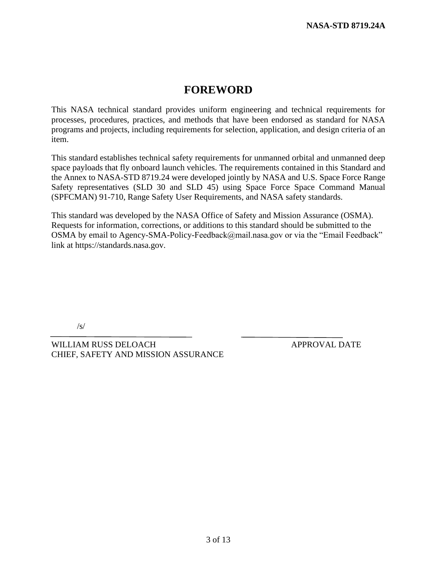## **FOREWORD**

This NASA technical standard provides uniform engineering and technical requirements for processes, procedures, practices, and methods that have been endorsed as standard for NASA programs and projects, including requirements for selection, application, and design criteria of an item.

This standard establishes technical safety requirements for unmanned orbital and unmanned deep space payloads that fly onboard launch vehicles. The requirements contained in this Standard and the Annex to NASA-STD 8719.24 were developed jointly by NASA and U.S. Space Force Range Safety representatives (SLD 30 and SLD 45) using Space Force Space Command Manual (SPFCMAN) 91-710, Range Safety User Requirements, and NASA safety standards.

This standard was developed by the NASA Office of Safety and Mission Assurance (OSMA). Requests for information, corrections, or additions to this standard should be submitted to the OSMA by email to Agency-SMA-Policy-Feedback@mail.nasa.gov or via the "Email Feedback" link at https://standards.nasa.gov.

/s/

WILLIAM RUSS DELOACH APPROVAL DATE CHIEF, SAFETY AND MISSION ASSURANCE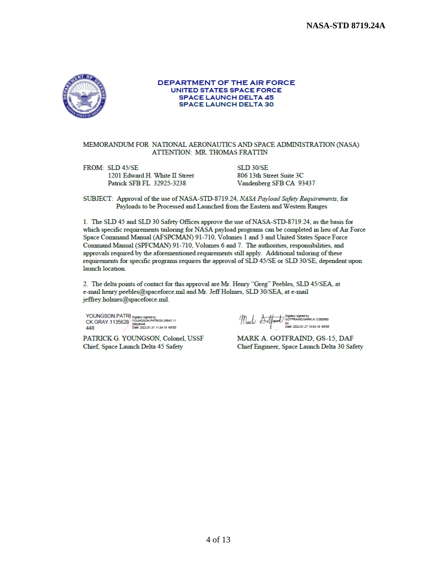**NASA-STD 8719.24A** 



### DEPARTMENT OF THE AIR FORCE **UNITED STATES SPACE FORCE SPACE LAUNCH DELTA 45 SPACE LAUNCH DELTA 30**

### MEMORANDUM FOR NATIONAL AERONAUTICS AND SPACE ADMINISTRATION (NASA) ATTENTION: MR. THOMAS FRATTIN

FROM: SLD 45/SE 1201 Edward H. White II Street Patrick SFB FL 32925-3238

**SLD 30/SE** 806 13th Street Suite 3C Vandenberg SFB CA 93437

SUBJECT: Approval of the use of NASA-STD-8719.24, NASA Payload Safety Requirements, for Payloads to be Processed and Launched from the Eastern and Western Ranges

1. The SLD 45 and SLD 30 Safety Offices approve the use of NASA-STD-8719.24, as the basis for which specific requirements tailoring for NASA payload programs can be completed in lieu of Air Force Space Command Manual (AFSPCMAN) 91-710, Volumes 1 and 3 and United States Space Force Command Manual (SPFCMAN) 91-710, Volumes 6 and 7. The authorities, responsibilities, and approvals required by the aforementioned requirements still apply. Additional tailoring of these requirements for specific programs requires the approval of SLD 45/SE or SLD 30/SE, dependent upon launch location.

2. The delta points of contact for this approval are Mr. Henry "Greg" Peebles, SLD 45/SEA, at e-mail henry peebles@spaceforce.mil and Mr. Jeff Holmes, SLD 30/SEA, at e-mail jeffrey.holmes@spaceforce.mil.

YOUNGSON.PATRI<br>CK.GRAY.1135628 PATRICK.GRAY.11<br>AMAN TO DOME 2022.01.31 11:34:15 -0507<br>DOME:2022.01.31 11:34:15 -9507

PATRICK G. YOUNGSON, Colonel, USSF Chief, Space Launch Delta 45 Safety

 $\langle \bigwedge_{\alpha\in\Lambda}\bigwedge_{\beta\in\Lambda}\bigwedge_{\substack{a\in\Lambda\\ \text{for } a\neq x \\ b\leq b\leq 2\alpha\leq 2\alpha\leq 2\gamma\leq 2\gamma\text{ is } 3\gamma\text{ is odd}}}$ 

MARK A. GOTFRAIND, GS-15, DAF Chief Engineer, Space Launch Delta 30 Safety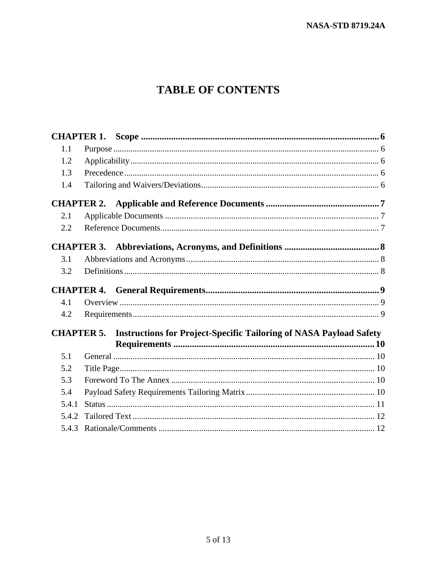# **TABLE OF CONTENTS**

| 1.1   |                   |                                                                                      |  |
|-------|-------------------|--------------------------------------------------------------------------------------|--|
| 1.2   |                   |                                                                                      |  |
| 1.3   |                   |                                                                                      |  |
| 1.4   |                   |                                                                                      |  |
|       | <b>CHAPTER 2.</b> |                                                                                      |  |
| 2.1   |                   |                                                                                      |  |
| 2.2   |                   |                                                                                      |  |
|       | <b>CHAPTER 3.</b> |                                                                                      |  |
| 3.1   |                   |                                                                                      |  |
| 3.2   |                   |                                                                                      |  |
|       |                   |                                                                                      |  |
|       |                   |                                                                                      |  |
| 4.1   |                   |                                                                                      |  |
| 4.2   |                   |                                                                                      |  |
|       |                   | <b>CHAPTER 5.</b> Instructions for Project-Specific Tailoring of NASA Payload Safety |  |
|       |                   |                                                                                      |  |
| 5.1   |                   |                                                                                      |  |
| 5.2   |                   |                                                                                      |  |
| 5.3   |                   |                                                                                      |  |
| 5.4   |                   |                                                                                      |  |
| 5.4.1 |                   |                                                                                      |  |
| 5.4.2 |                   |                                                                                      |  |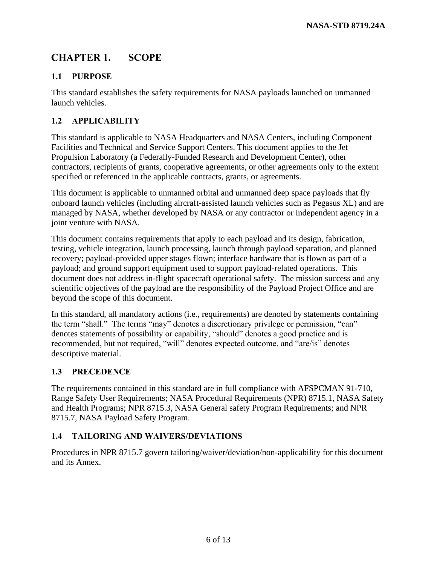#### <span id="page-5-0"></span>**CHAPTER 1. SCOPE**

## <span id="page-5-1"></span>**1.1 PURPOSE**

This standard establishes the safety requirements for NASA payloads launched on unmanned launch vehicles.

## <span id="page-5-2"></span>**1.2 APPLICABILITY**

This standard is applicable to NASA Headquarters and NASA Centers, including Component Facilities and Technical and Service Support Centers. This document applies to the Jet Propulsion Laboratory (a Federally-Funded Research and Development Center), other contractors, recipients of grants, cooperative agreements, or other agreements only to the extent specified or referenced in the applicable contracts, grants, or agreements.

This document is applicable to unmanned orbital and unmanned deep space payloads that fly onboard launch vehicles (including aircraft-assisted launch vehicles such as Pegasus XL) and are managed by NASA, whether developed by NASA or any contractor or independent agency in a joint venture with NASA.

This document contains requirements that apply to each payload and its design, fabrication, testing, vehicle integration, launch processing, launch through payload separation, and planned recovery; payload-provided upper stages flown; interface hardware that is flown as part of a payload; and ground support equipment used to support payload-related operations. This document does not address in-flight spacecraft operational safety. The mission success and any scientific objectives of the payload are the responsibility of the Payload Project Office and are beyond the scope of this document.

In this standard, all mandatory actions (i.e., requirements) are denoted by statements containing the term "shall." The terms "may" denotes a discretionary privilege or permission, "can" denotes statements of possibility or capability, "should" denotes a good practice and is recommended, but not required, "will" denotes expected outcome, and "are/is" denotes descriptive material.

### <span id="page-5-3"></span>**1.3 PRECEDENCE**

The requirements contained in this standard are in full compliance with AFSPCMAN 91-710, Range Safety User Requirements; NASA Procedural Requirements (NPR) 8715.1, NASA Safety and Health Programs; NPR 8715.3, NASA General safety Program Requirements; and NPR 8715.7, NASA Payload Safety Program.

### <span id="page-5-4"></span>**1.4 TAILORING AND WAIVERS/DEVIATIONS**

Procedures in NPR 8715.7 govern tailoring/waiver/deviation/non-applicability for this document and its Annex.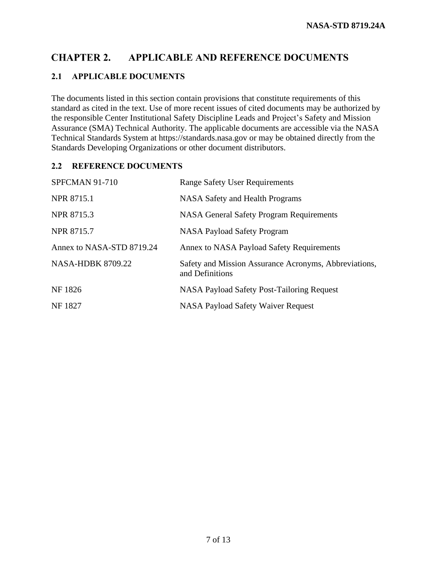#### <span id="page-6-0"></span>**CHAPTER 2. APPLICABLE AND REFERENCE DOCUMENTS**

### **2.1 APPLICABLE DOCUMENTS**

The documents listed in this section contain provisions that constitute requirements of this standard as cited in the text. Use of more recent issues of cited documents may be authorized by the responsible Center Institutional Safety Discipline Leads and Project's Safety and Mission Assurance (SMA) Technical Authority. The applicable documents are accessible via the NASA Technical Standards System at https://standards.nasa.gov or may be obtained directly from the Standards Developing Organizations or other document distributors.

### <span id="page-6-1"></span>**2.2 REFERENCE DOCUMENTS**

| <b>SPFCMAN 91-710</b>     | <b>Range Safety User Requirements</b>                                    |
|---------------------------|--------------------------------------------------------------------------|
| <b>NPR 8715.1</b>         | <b>NASA Safety and Health Programs</b>                                   |
| NPR 8715.3                | <b>NASA General Safety Program Requirements</b>                          |
| <b>NPR 8715.7</b>         | <b>NASA Payload Safety Program</b>                                       |
| Annex to NASA-STD 8719.24 | Annex to NASA Payload Safety Requirements                                |
| <b>NASA-HDBK 8709.22</b>  | Safety and Mission Assurance Acronyms, Abbreviations,<br>and Definitions |
| NF 1826                   | NASA Payload Safety Post-Tailoring Request                               |
| <b>NF1827</b>             | <b>NASA Payload Safety Waiver Request</b>                                |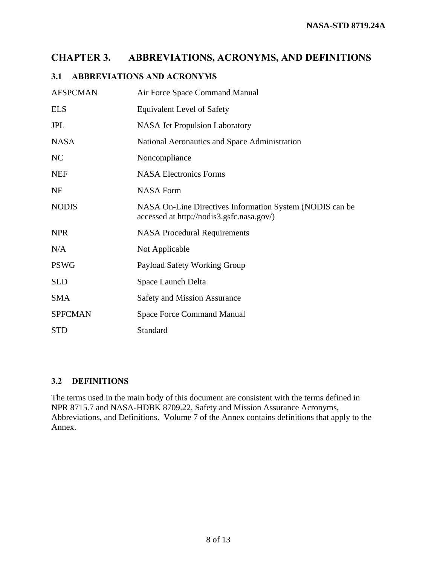#### <span id="page-7-0"></span>**ABBREVIATIONS, ACRONYMS, AND DEFINITIONS CHAPTER 3.**

### <span id="page-7-1"></span>**3.1 ABBREVIATIONS AND ACRONYMS**

| <b>AFSPCMAN</b> | Air Force Space Command Manual                                                                        |
|-----------------|-------------------------------------------------------------------------------------------------------|
| <b>ELS</b>      | <b>Equivalent Level of Safety</b>                                                                     |
| <b>JPL</b>      | <b>NASA Jet Propulsion Laboratory</b>                                                                 |
| <b>NASA</b>     | National Aeronautics and Space Administration                                                         |
| NC              | Noncompliance                                                                                         |
| <b>NEF</b>      | <b>NASA Electronics Forms</b>                                                                         |
| <b>NF</b>       | <b>NASA Form</b>                                                                                      |
| <b>NODIS</b>    | NASA On-Line Directives Information System (NODIS can be<br>accessed at http://nodis3.gsfc.nasa.gov/) |
| <b>NPR</b>      | <b>NASA Procedural Requirements</b>                                                                   |
| N/A             | Not Applicable                                                                                        |
| <b>PSWG</b>     | Payload Safety Working Group                                                                          |
| <b>SLD</b>      | Space Launch Delta                                                                                    |
| <b>SMA</b>      | <b>Safety and Mission Assurance</b>                                                                   |
| <b>SPFCMAN</b>  | <b>Space Force Command Manual</b>                                                                     |
| <b>STD</b>      | Standard                                                                                              |

### <span id="page-7-2"></span>**3.2 DEFINITIONS**

The terms used in the main body of this document are consistent with the terms defined in NPR 8715.7 and NASA-HDBK 8709.22, Safety and Mission Assurance Acronyms, Abbreviations, and Definitions. Volume 7 of the Annex contains definitions that apply to the Annex.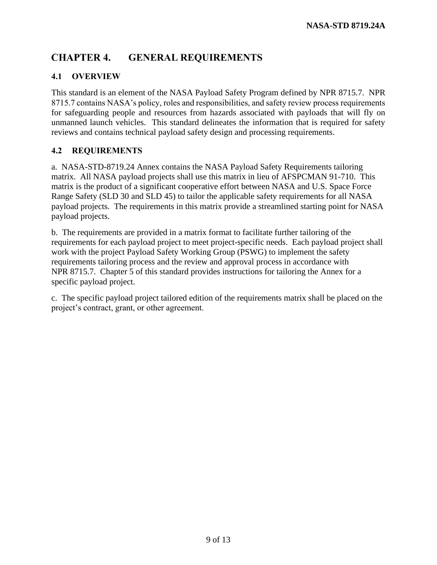#### <span id="page-8-0"></span>**CHAPTER 4. GENERAL REQUIREMENTS**

### <span id="page-8-1"></span>**4.1 OVERVIEW**

This standard is an element of the NASA Payload Safety Program defined by NPR 8715.7. NPR 8715.7 contains NASA's policy, roles and responsibilities, and safety review process requirements for safeguarding people and resources from hazards associated with payloads that will fly on unmanned launch vehicles. This standard delineates the information that is required for safety reviews and contains technical payload safety design and processing requirements.

### **4.2 REQUIREMENTS**

a. NASA-STD-8719.24 Annex contains the NASA Payload Safety Requirements tailoring matrix. All NASA payload projects shall use this matrix in lieu of AFSPCMAN 91-710. This matrix is the product of a significant cooperative effort between NASA and U.S. Space Force Range Safety (SLD 30 and SLD 45) to tailor the applicable safety requirements for all NASA payload projects. The requirements in this matrix provide a streamlined starting point for NASA payload projects.

b. The requirements are provided in a matrix format to facilitate further tailoring of the requirements for each payload project to meet project-specific needs. Each payload project shall work with the project Payload Safety Working Group (PSWG) to implement the safety requirements tailoring process and the review and approval process in accordance with NPR 8715.7. Chapter 5 of this standard provides instructions for tailoring the Annex for a specific payload project.

c. The specific payload project tailored edition of the requirements matrix shall be placed on the project's contract, grant, or other agreement.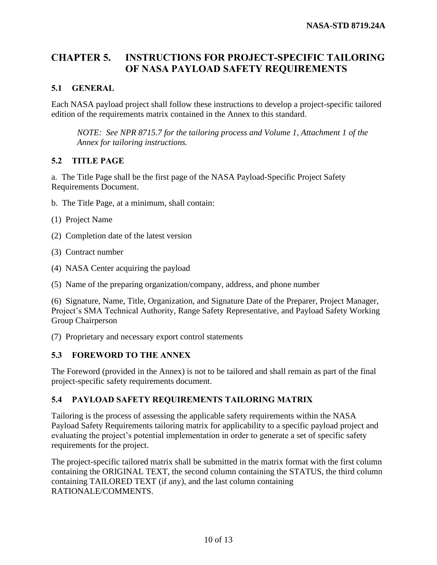### <span id="page-9-0"></span>**CHAPTER 5. INSTRUCTIONS FOR PROJECT-SPECIFIC TAILORING OF NASA PAYLOAD SAFETY REQUIREMENTS**

### <span id="page-9-1"></span>**5.1 GENERAL**

Each NASA payload project shall follow these instructions to develop a project-specific tailored edition of the requirements matrix contained in the Annex to this standard.

*NOTE: See NPR 8715.7 for the tailoring process and Volume 1, Attachment 1 of the Annex for tailoring instructions.*

### <span id="page-9-2"></span>**5.2 TITLE PAGE**

a. The Title Page shall be the first page of the NASA Payload-Specific Project Safety Requirements Document.

- b. The Title Page, at a minimum, shall contain:
- (1) Project Name
- (2) Completion date of the latest version
- (3) Contract number
- (4) NASA Center acquiring the payload
- (5) Name of the preparing organization/company, address, and phone number

(6) Signature, Name, Title, Organization, and Signature Date of the Preparer, Project Manager, Project's SMA Technical Authority, Range Safety Representative, and Payload Safety Working Group Chairperson

(7) Proprietary and necessary export control statements

### <span id="page-9-3"></span>**5.3 FOREWORD TO THE ANNEX**

The Foreword (provided in the Annex) is not to be tailored and shall remain as part of the final project-specific safety requirements document.

### <span id="page-9-4"></span>**5.4 PAYLOAD SAFETY REQUIREMENTS TAILORING MATRIX**

Tailoring is the process of assessing the applicable safety requirements within the NASA Payload Safety Requirements tailoring matrix for applicability to a specific payload project and evaluating the project's potential implementation in order to generate a set of specific safety requirements for the project.

The project-specific tailored matrix shall be submitted in the matrix format with the first column containing the ORIGINAL TEXT, the second column containing the STATUS, the third column containing TAILORED TEXT (if any), and the last column containing RATIONALE/COMMENTS.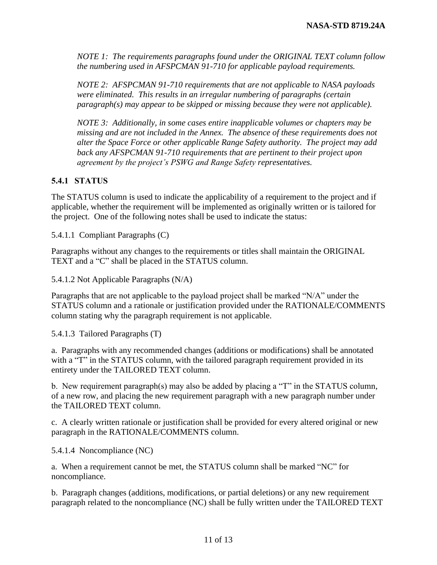*NOTE 1: The requirements paragraphs found under the ORIGINAL TEXT column follow the numbering used in AFSPCMAN 91-710 for applicable payload requirements.* 

*NOTE 2: AFSPCMAN 91-710 requirements that are not applicable to NASA payloads were eliminated. This results in an irregular numbering of paragraphs (certain paragraph(s) may appear to be skipped or missing because they were not applicable).* 

*NOTE 3: Additionally, in some cases entire inapplicable volumes or chapters may be missing and are not included in the Annex. The absence of these requirements does not alter the Space Force or other applicable Range Safety authority. The project may add back any AFSPCMAN 91-710 requirements that are pertinent to their project upon agreement by the project's PSWG and Range Safety representatives.*

### <span id="page-10-0"></span>**5.4.1 STATUS**

The STATUS column is used to indicate the applicability of a requirement to the project and if applicable, whether the requirement will be implemented as originally written or is tailored for the project. One of the following notes shall be used to indicate the status:

5.4.1.1 Compliant Paragraphs (C)

Paragraphs without any changes to the requirements or titles shall maintain the ORIGINAL TEXT and a "C" shall be placed in the STATUS column.

5.4.1.2 Not Applicable Paragraphs (N/A)

Paragraphs that are not applicable to the payload project shall be marked "N/A" under the STATUS column and a rationale or justification provided under the RATIONALE/COMMENTS column stating why the paragraph requirement is not applicable.

5.4.1.3 Tailored Paragraphs (T)

a. Paragraphs with any recommended changes (additions or modifications) shall be annotated with a "T" in the STATUS column, with the tailored paragraph requirement provided in its entirety under the TAILORED TEXT column.

b. New requirement paragraph(s) may also be added by placing a "T" in the STATUS column, of a new row, and placing the new requirement paragraph with a new paragraph number under the TAILORED TEXT column.

c. A clearly written rationale or justification shall be provided for every altered original or new paragraph in the RATIONALE/COMMENTS column.

5.4.1.4 Noncompliance (NC)

a. When a requirement cannot be met, the STATUS column shall be marked "NC" for noncompliance.

b. Paragraph changes (additions, modifications, or partial deletions) or any new requirement paragraph related to the noncompliance (NC) shall be fully written under the TAILORED TEXT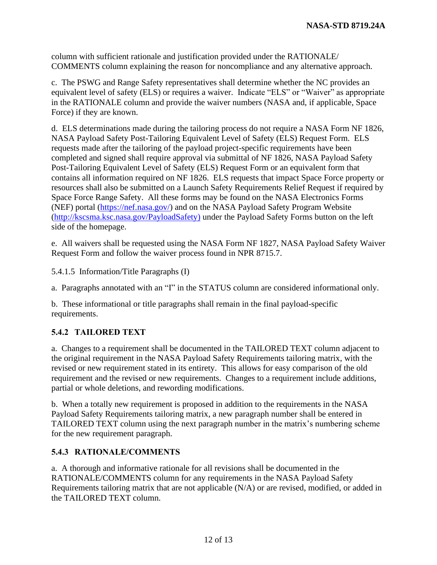column with sufficient rationale and justification provided under the RATIONALE/ COMMENTS column explaining the reason for noncompliance and any alternative approach.

c. The PSWG and Range Safety representatives shall determine whether the NC provides an equivalent level of safety (ELS) or requires a waiver. Indicate "ELS" or "Waiver" as appropriate in the RATIONALE column and provide the waiver numbers (NASA and, if applicable, Space Force) if they are known.

d. ELS determinations made during the tailoring process do not require a NASA Form NF 1826, NASA Payload Safety Post-Tailoring Equivalent Level of Safety (ELS) Request Form. ELS requests made after the tailoring of the payload project-specific requirements have been completed and signed shall require approval via submittal of NF 1826, NASA Payload Safety Post-Tailoring Equivalent Level of Safety (ELS) Request Form or an equivalent form that contains all information required on NF 1826. ELS requests that impact Space Force property or resources shall also be submitted on a Launch Safety Requirements Relief Request if required by Space Force Range Safety. All these forms may be found on the NASA Electronics Forms (NEF) portal [\(https://nef.nasa.gov/\)](https://nef.nasa.gov/) and on the NASA Payload Safety Program Website [\(http://kscsma.ksc.nasa.gov/PayloadSafety\)](http://kscsma.ksc.nasa.gov/PayloadSafety) under the Payload Safety Forms button on the left side of the homepage.

e. All waivers shall be requested using the NASA Form NF 1827, NASA Payload Safety Waiver Request Form and follow the waiver process found in NPR 8715.7.

5.4.1.5 Information/Title Paragraphs (I)

a. Paragraphs annotated with an "I" in the STATUS column are considered informational only.

b. These informational or title paragraphs shall remain in the final payload-specific requirements.

### <span id="page-11-0"></span>**5.4.2 TAILORED TEXT**

a. Changes to a requirement shall be documented in the TAILORED TEXT column adjacent to the original requirement in the NASA Payload Safety Requirements tailoring matrix, with the revised or new requirement stated in its entirety. This allows for easy comparison of the old requirement and the revised or new requirements. Changes to a requirement include additions, partial or whole deletions, and rewording modifications.

b. When a totally new requirement is proposed in addition to the requirements in the NASA Payload Safety Requirements tailoring matrix, a new paragraph number shall be entered in TAILORED TEXT column using the next paragraph number in the matrix's numbering scheme for the new requirement paragraph.

### <span id="page-11-1"></span>**5.4.3 RATIONALE/COMMENTS**

a. A thorough and informative rationale for all revisions shall be documented in the RATIONALE/COMMENTS column for any requirements in the NASA Payload Safety Requirements tailoring matrix that are not applicable (N/A) or are revised, modified, or added in the TAILORED TEXT column.